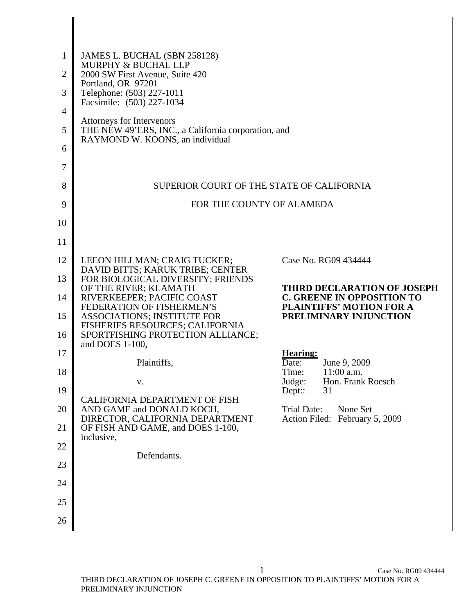| $\mathbf{1}$ | JAMES L. BUCHAL (SBN 258128)<br>MURPHY & BUCHAL LLP                                           |                                                                      |  |  |  |  |  |  |
|--------------|-----------------------------------------------------------------------------------------------|----------------------------------------------------------------------|--|--|--|--|--|--|
| 2            | 2000 SW First Avenue, Suite 420<br>Portland, OR 97201                                         |                                                                      |  |  |  |  |  |  |
| 3            | Telephone: (503) 227-1011<br>Facsimile: (503) 227-1034                                        |                                                                      |  |  |  |  |  |  |
| 4            | Attorneys for Intervenors                                                                     |                                                                      |  |  |  |  |  |  |
| 5            | THE NEW 49'ERS, INC., a California corporation, and<br>RAYMOND W. KOONS, an individual        |                                                                      |  |  |  |  |  |  |
| 6            |                                                                                               |                                                                      |  |  |  |  |  |  |
| 7            |                                                                                               |                                                                      |  |  |  |  |  |  |
| 8            | SUPERIOR COURT OF THE STATE OF CALIFORNIA                                                     |                                                                      |  |  |  |  |  |  |
| 9            | FOR THE COUNTY OF ALAMEDA                                                                     |                                                                      |  |  |  |  |  |  |
| 10           |                                                                                               |                                                                      |  |  |  |  |  |  |
| 11           |                                                                                               |                                                                      |  |  |  |  |  |  |
| 12           | LEEON HILLMAN; CRAIG TUCKER;<br>DAVID BITTS; KARUK TRIBE; CENTER                              | Case No. RG09 434444                                                 |  |  |  |  |  |  |
| 13           | FOR BIOLOGICAL DIVERSITY; FRIENDS<br>OF THE RIVER; KLAMATH                                    | THIRD DECLARATION OF JOSEPH                                          |  |  |  |  |  |  |
| 14           | RIVERKEEPER; PACIFIC COAST<br>FEDERATION OF FISHERMEN'S                                       | <b>C. GREENE IN OPPOSITION TO</b><br><b>PLAINTIFFS' MOTION FOR A</b> |  |  |  |  |  |  |
| 15           | <b>ASSOCIATIONS; INSTITUTE FOR</b><br>FISHERIES RESOURCES; CALIFORNIA                         | PRELIMINARY INJUNCTION                                               |  |  |  |  |  |  |
| 16           | SPORTFISHING PROTECTION ALLIANCE;<br>and DOES 1-100,                                          |                                                                      |  |  |  |  |  |  |
| 17           | Plaintiffs,                                                                                   | <b>Hearing:</b><br>June 9, 2009<br>Date:                             |  |  |  |  |  |  |
| 18           | v.                                                                                            | $11:00$ a.m.<br>Time:<br>Hon. Frank Roesch<br>Judge:                 |  |  |  |  |  |  |
| 19           | CALIFORNIA DEPARTMENT OF FISH<br>AND GAME and DONALD KOCH,<br>DIRECTOR, CALIFORNIA DEPARTMENT | 31<br>$Dep:$ :                                                       |  |  |  |  |  |  |
| 20           |                                                                                               | <b>Trial Date:</b><br>None Set<br>Action Filed: February 5, 2009     |  |  |  |  |  |  |
| 21           | OF FISH AND GAME, and DOES 1-100,<br>inclusive,                                               |                                                                      |  |  |  |  |  |  |
| 22           | Defendants.                                                                                   |                                                                      |  |  |  |  |  |  |
| 23           |                                                                                               |                                                                      |  |  |  |  |  |  |
| 24           |                                                                                               |                                                                      |  |  |  |  |  |  |
| 25           |                                                                                               |                                                                      |  |  |  |  |  |  |
| 26           |                                                                                               |                                                                      |  |  |  |  |  |  |

 $\mathsf I$  $\mathsf{l}$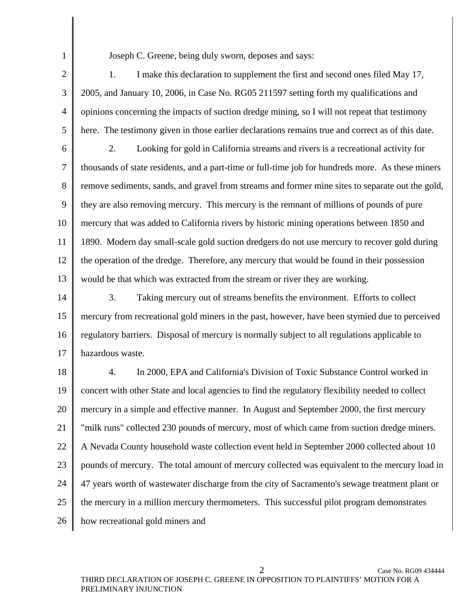1

Joseph C. Greene, being duly sworn, deposes and says:

2 3 4 5 1. I make this declaration to supplement the first and second ones filed May 17, 2005, and January 10, 2006, in Case No. RG05 211597 setting forth my qualifications and opinions concerning the impacts of suction dredge mining, so I will not repeat that testimony here. The testimony given in those earlier declarations remains true and correct as of this date.

6 7 8 9 10 11 12 13 2. Looking for gold in California streams and rivers is a recreational activity for thousands of state residents, and a part-time or full-time job for hundreds more. As these miners remove sediments, sands, and gravel from streams and former mine sites to separate out the gold, they are also removing mercury. This mercury is the remnant of millions of pounds of pure mercury that was added to California rivers by historic mining operations between 1850 and 1890. Modern day small-scale gold suction dredgers do not use mercury to recover gold during the operation of the dredge. Therefore, any mercury that would be found in their possession would be that which was extracted from the stream or river they are working.

14 15 16 17 3. Taking mercury out of streams benefits the environment. Efforts to collect mercury from recreational gold miners in the past, however, have been stymied due to perceived regulatory barriers. Disposal of mercury is normally subject to all regulations applicable to hazardous waste.

18 19 20 21 22 23 24 25 26 4. In 2000, EPA and California's Division of Toxic Substance Control worked in concert with other State and local agencies to find the regulatory flexibility needed to collect mercury in a simple and effective manner. In August and September 2000, the first mercury "milk runs" collected 230 pounds of mercury, most of which came from suction dredge miners. A Nevada County household waste collection event held in September 2000 collected about 10 pounds of mercury. The total amount of mercury collected was equivalent to the mercury load in 47 years worth of wastewater discharge from the city of Sacramento's sewage treatment plant or the mercury in a million mercury thermometers. This successful pilot program demonstrates how recreational gold miners and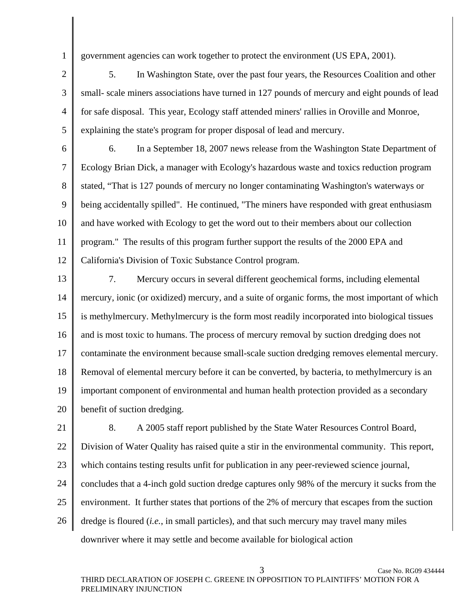government agencies can work together to protect the environment (US EPA, 2001).

1

2

3

5

4 5. In Washington State, over the past four years, the Resources Coalition and other small- scale miners associations have turned in 127 pounds of mercury and eight pounds of lead for safe disposal. This year, Ecology staff attended miners' rallies in Oroville and Monroe, explaining the state's program for proper disposal of lead and mercury.

6 7 8 9 10 11 12 6. In a September 18, 2007 news release from the Washington State Department of Ecology Brian Dick, a manager with Ecology's hazardous waste and toxics reduction program stated, "That is 127 pounds of mercury no longer contaminating Washington's waterways or being accidentally spilled". He continued, "The miners have responded with great enthusiasm and have worked with Ecology to get the word out to their members about our collection program." The results of this program further support the results of the 2000 EPA and California's Division of Toxic Substance Control program.

13 14 15 16 17 18 19 20 7. Mercury occurs in several different geochemical forms, including elemental mercury, ionic (or oxidized) mercury, and a suite of organic forms, the most important of which is methylmercury. Methylmercury is the form most readily incorporated into biological tissues and is most toxic to humans. The process of mercury removal by suction dredging does not contaminate the environment because small-scale suction dredging removes elemental mercury. Removal of elemental mercury before it can be converted, by bacteria, to methylmercury is an important component of environmental and human health protection provided as a secondary benefit of suction dredging.

21 22 23 24 25 26 8. A 2005 staff report published by the State Water Resources Control Board, Division of Water Quality has raised quite a stir in the environmental community. This report, which contains testing results unfit for publication in any peer-reviewed science journal, concludes that a 4-inch gold suction dredge captures only 98% of the mercury it sucks from the environment. It further states that portions of the 2% of mercury that escapes from the suction dredge is floured (*i.e.*, in small particles), and that such mercury may travel many miles downriver where it may settle and become available for biological action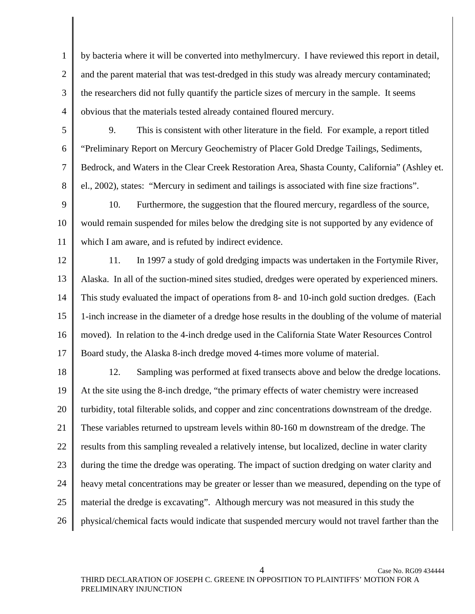1 2 3 4 by bacteria where it will be converted into methylmercury. I have reviewed this report in detail, and the parent material that was test-dredged in this study was already mercury contaminated; the researchers did not fully quantify the particle sizes of mercury in the sample. It seems obvious that the materials tested already contained floured mercury.

5 6

7

8

9. This is consistent with other literature in the field. For example, a report titled "Preliminary Report on Mercury Geochemistry of Placer Gold Dredge Tailings, Sediments, Bedrock, and Waters in the Clear Creek Restoration Area, Shasta County, California" (Ashley et. el., 2002), states: "Mercury in sediment and tailings is associated with fine size fractions".

9 10 11 10. Furthermore, the suggestion that the floured mercury, regardless of the source, would remain suspended for miles below the dredging site is not supported by any evidence of which I am aware, and is refuted by indirect evidence.

12

13

14

15

16

17

11. In 1997 a study of gold dredging impacts was undertaken in the Fortymile River, Alaska. In all of the suction-mined sites studied, dredges were operated by experienced miners. This study evaluated the impact of operations from 8- and 10-inch gold suction dredges. (Each 1-inch increase in the diameter of a dredge hose results in the doubling of the volume of material moved). In relation to the 4-inch dredge used in the California State Water Resources Control Board study, the Alaska 8-inch dredge moved 4-times more volume of material.

18 19 20 21 22 23 24 25 26 12. Sampling was performed at fixed transects above and below the dredge locations. At the site using the 8-inch dredge, "the primary effects of water chemistry were increased turbidity, total filterable solids, and copper and zinc concentrations downstream of the dredge. These variables returned to upstream levels within 80-160 m downstream of the dredge. The results from this sampling revealed a relatively intense, but localized, decline in water clarity during the time the dredge was operating. The impact of suction dredging on water clarity and heavy metal concentrations may be greater or lesser than we measured, depending on the type of material the dredge is excavating". Although mercury was not measured in this study the physical/chemical facts would indicate that suspended mercury would not travel farther than the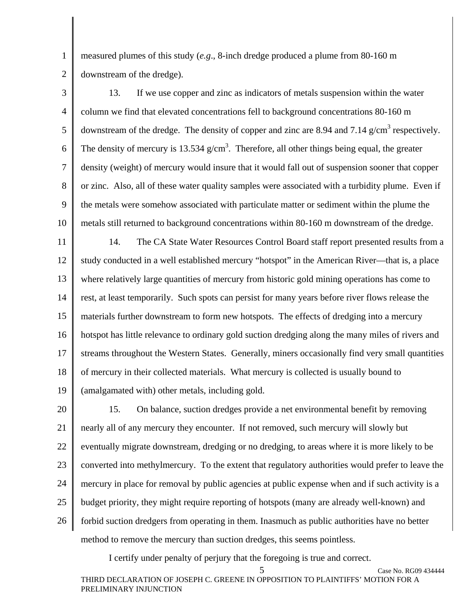measured plumes of this study (*e.g*., 8-inch dredge produced a plume from 80-160 m downstream of the dredge).

1

2

3 4 5 6 7 8 9 10 13. If we use copper and zinc as indicators of metals suspension within the water column we find that elevated concentrations fell to background concentrations 80-160 m downstream of the dredge. The density of copper and zinc are 8.94 and 7.14  $g/cm<sup>3</sup>$  respectively. The density of mercury is 13.534  $g/cm<sup>3</sup>$ . Therefore, all other things being equal, the greater density (weight) of mercury would insure that it would fall out of suspension sooner that copper or zinc. Also, all of these water quality samples were associated with a turbidity plume. Even if the metals were somehow associated with particulate matter or sediment within the plume the metals still returned to background concentrations within 80-160 m downstream of the dredge.

11 12 13 14 15 16 17 18 19 14. The CA State Water Resources Control Board staff report presented results from a study conducted in a well established mercury "hotspot" in the American River—that is, a place where relatively large quantities of mercury from historic gold mining operations has come to rest, at least temporarily. Such spots can persist for many years before river flows release the materials further downstream to form new hotspots. The effects of dredging into a mercury hotspot has little relevance to ordinary gold suction dredging along the many miles of rivers and streams throughout the Western States. Generally, miners occasionally find very small quantities of mercury in their collected materials. What mercury is collected is usually bound to (amalgamated with) other metals, including gold.

20 21 22 23 24 25 26 15. On balance, suction dredges provide a net environmental benefit by removing nearly all of any mercury they encounter. If not removed, such mercury will slowly but eventually migrate downstream, dredging or no dredging, to areas where it is more likely to be converted into methylmercury. To the extent that regulatory authorities would prefer to leave the mercury in place for removal by public agencies at public expense when and if such activity is a budget priority, they might require reporting of hotspots (many are already well-known) and forbid suction dredgers from operating in them. Inasmuch as public authorities have no better method to remove the mercury than suction dredges, this seems pointless.

I certify under penalty of perjury that the foregoing is true and correct.

Case No. RG09 434444 THIRD DECLARATION OF JOSEPH C. GREENE IN OPPOSITION TO PLAINTIFFS' MOTION FOR A PRELIMINARY INJUNCTION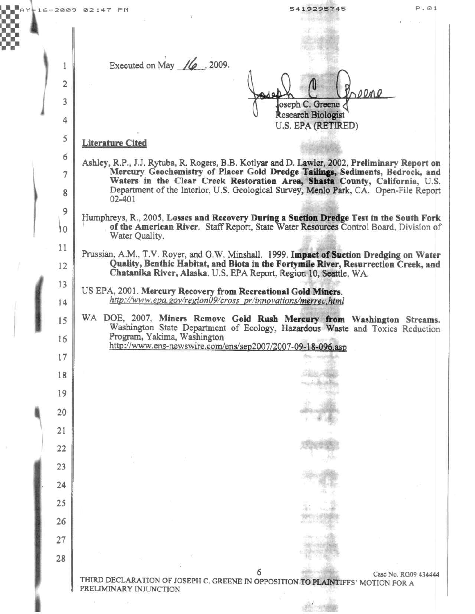|  |  |                | P.01<br>$\blacksquare$ AY $+ 16 - 2009$ 02:47 PM<br>5419295745                                                                                                                                                                                       |
|--|--|----------------|------------------------------------------------------------------------------------------------------------------------------------------------------------------------------------------------------------------------------------------------------|
|  |  |                |                                                                                                                                                                                                                                                      |
|  |  | 1              | Executed on May $\frac{1}{6}$ , 2009.                                                                                                                                                                                                                |
|  |  | $\overline{2}$ |                                                                                                                                                                                                                                                      |
|  |  | 3              | Progne<br>ه ۸<br>oseph C. Greene                                                                                                                                                                                                                     |
|  |  | 4              | <b>Research Biologist</b><br>U.S. EPA (RETIRED)                                                                                                                                                                                                      |
|  |  | 5              | <b>Literature Cited</b>                                                                                                                                                                                                                              |
|  |  | 6              | Ashley, R.P., J.J. Rytuba, R. Rogers, B.B. Kotlyar and D. Lawler, 2002, Preliminary Report on                                                                                                                                                        |
|  |  | 7<br>8         | Mercury Geochemistry of Placer Gold Dredge Tailings, Sediments, Bedrock, and<br>Waters in the Clear Creek Restoration Area, Shasta County, California, U.S.<br>Department of the Interior, U.S. Geological Survey, Menlo Park, CA. Open-File Report  |
|  |  | 9              | $02 - 401$                                                                                                                                                                                                                                           |
|  |  | 10             | Humphreys, R., 2005, Losses and Recovery During a Suction Dredge Test in the South Fork<br>of the American River. Staff Report, State Water Resources Control Board, Division of<br>Water Quality.                                                   |
|  |  | 11<br>12       | Prussian, A.M., T.V. Royer, and G.W. Minshall. 1999. Impact of Suction Dredging on Water<br>Quality, Benthic Habitat, and Biota in the Fortymile River, Resurrection Creek, and<br>Chatanika River, Alaska. U.S. EPA Report, Region 10, Seattle, WA. |
|  |  | 13             | US EPA, 2001. Mercury Recovery from Recreational Gold Miners.                                                                                                                                                                                        |
|  |  | 14             | http://www.epa.gov/region09/cross_pr/innovations/merrec.html                                                                                                                                                                                         |
|  |  | 15<br>16       | WA DOE, 2007, Miners Remove Gold Rush Mercury from Washington Streams.<br>Washington State Department of Ecology, Hazardous Waste and Toxics Reduction<br>Program, Yakima, Washington                                                                |
|  |  | 17             | http://www.ens-newswire.com/ens/sep2007/2007-09-18-096.asp                                                                                                                                                                                           |
|  |  | 18             |                                                                                                                                                                                                                                                      |
|  |  | 19             |                                                                                                                                                                                                                                                      |
|  |  | 20             |                                                                                                                                                                                                                                                      |
|  |  | 21             |                                                                                                                                                                                                                                                      |
|  |  | 22             |                                                                                                                                                                                                                                                      |
|  |  | 23             |                                                                                                                                                                                                                                                      |
|  |  | 24             |                                                                                                                                                                                                                                                      |
|  |  | 25             |                                                                                                                                                                                                                                                      |
|  |  | 26             |                                                                                                                                                                                                                                                      |
|  |  | 27             |                                                                                                                                                                                                                                                      |
|  |  | 28             |                                                                                                                                                                                                                                                      |
|  |  |                | Case No. RG09 434444<br>THIRD DECLARATION OF JOSEPH C. GREENE IN OPPOSITION TO PLAINTIFFS' MOTION FOR A<br>PRELIMINARY INJUNCTION                                                                                                                    |
|  |  |                |                                                                                                                                                                                                                                                      |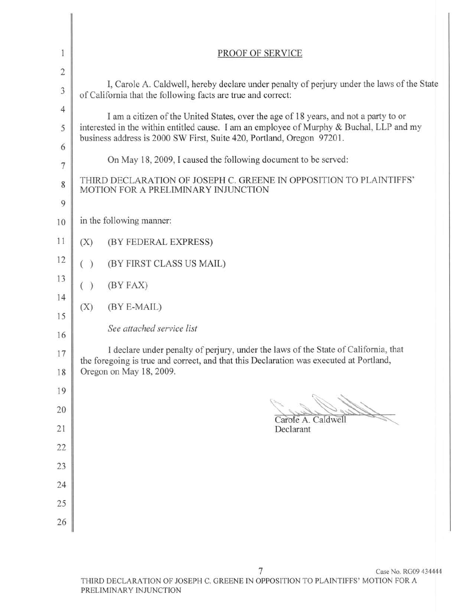| $\mathbf{1}$<br>$\overline{2}$ | PROOF OF SERVICE                                                                                                                                                                                                                                          |  |  |  |
|--------------------------------|-----------------------------------------------------------------------------------------------------------------------------------------------------------------------------------------------------------------------------------------------------------|--|--|--|
| $\ensuremath{\mathfrak{Z}}$    | I, Carole A. Caldwell, hereby declare under penalty of perjury under the laws of the State<br>of California that the following facts are true and correct:                                                                                                |  |  |  |
| $\overline{4}$<br>5<br>6       | I am a citizen of the United States, over the age of 18 years, and not a party to or<br>interested in the within entitled cause. I am an employee of Murphy & Buchal, LLP and my<br>business address is 2000 SW First, Suite 420, Portland, Oregon 97201. |  |  |  |
| $\overline{7}$                 | On May 18, 2009, I caused the following document to be served:                                                                                                                                                                                            |  |  |  |
| 8<br>9                         | THIRD DECLARATION OF JOSEPH C. GREENE IN OPPOSITION TO PLAINTIFFS'<br>MOTION FOR A PRELIMINARY INJUNCTION                                                                                                                                                 |  |  |  |
| 10                             | in the following manner:                                                                                                                                                                                                                                  |  |  |  |
| 11                             | (X)<br>(BY FEDERAL EXPRESS)                                                                                                                                                                                                                               |  |  |  |
| 12                             | (BY FIRST CLASS US MAIL)<br>( )                                                                                                                                                                                                                           |  |  |  |
| 13<br>14                       | (BY FAX)<br>$\lambda$                                                                                                                                                                                                                                     |  |  |  |
| 15                             | (BY E-MAIL)<br>(X)                                                                                                                                                                                                                                        |  |  |  |
| 16                             | See attached service list                                                                                                                                                                                                                                 |  |  |  |
| 17                             | I declare under penalty of perjury, under the laws of the State of California, that<br>the foregoing is true and correct, and that this Declaration was executed at Portland,                                                                             |  |  |  |
| 18<br>19                       | Oregon on May 18, 2009.                                                                                                                                                                                                                                   |  |  |  |
| 20                             |                                                                                                                                                                                                                                                           |  |  |  |
| 21                             | Carole A. Caldwell<br>Declarant                                                                                                                                                                                                                           |  |  |  |
| 22                             |                                                                                                                                                                                                                                                           |  |  |  |
| 23                             |                                                                                                                                                                                                                                                           |  |  |  |
| 24                             |                                                                                                                                                                                                                                                           |  |  |  |
| 25                             |                                                                                                                                                                                                                                                           |  |  |  |
| 26                             |                                                                                                                                                                                                                                                           |  |  |  |